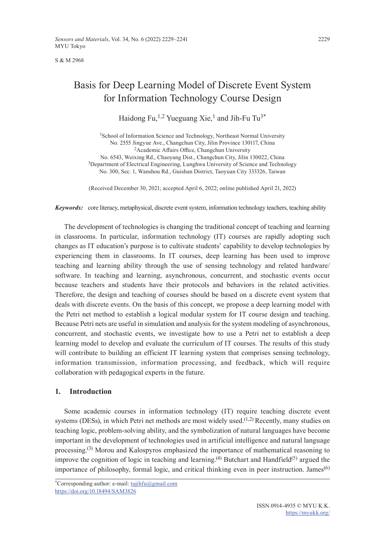S & M 2968

# Basis for Deep Learning Model of Discrete Event System for Information Technology Course Design

# Haidong Fu,<sup>1,2</sup> Yueguang Xie,<sup>1</sup> and Jih-Fu Tu<sup>3\*</sup>

<sup>1</sup>School of Information Science and Technology, Northeast Normal University No. 2555 Jingyue Ave., Changchun City, Jilin Province 130117, China <sup>2</sup>Academic Affairs Office, Changchun University No. 6543, Weixing Rd., Chaoyang Dist., Changchun City, Jilin 130022, China <sup>3</sup>Department of Electrical Engineering, Lunghwa University of Science and Technology No. 300, Sec. 1, Wanshou Rd., Guishan District, Taoyuan City 333326, Taiwan

(Received December 30, 2021; accepted April 6, 2022; online published April 21, 2022)

*Keywords:* core literacy, metaphysical, discrete event system, information technology teachers, teaching ability

The development of technologies is changing the traditional concept of teaching and learning in classrooms. In particular, information technology (IT) courses are rapidly adopting such changes as IT education's purpose is to cultivate students' capability to develop technologies by experiencing them in classrooms. In IT courses, deep learning has been used to improve teaching and learning ability through the use of sensing technology and related hardware/ software. In teaching and learning, asynchronous, concurrent, and stochastic events occur because teachers and students have their protocols and behaviors in the related activities. Therefore, the design and teaching of courses should be based on a discrete event system that deals with discrete events. On the basis of this concept, we propose a deep learning model with the Petri net method to establish a logical modular system for IT course design and teaching. Because Petri nets are useful in simulation and analysis for the system modeling of asynchronous, concurrent, and stochastic events, we investigate how to use a Petri net to establish a deep learning model to develop and evaluate the curriculum of IT courses. The results of this study will contribute to building an efficient IT learning system that comprises sensing technology, information transmission, information processing, and feedback, which will require collaboration with pedagogical experts in the future.

# **1. Introduction**

Some academic courses in information technology (IT) require teaching discrete event systems (DESs), in which Petri net methods are most widely used.<sup> $(1,2)$ </sup> Recently, many studies on teaching logic, problem-solving ability, and the symbolization of natural languages have become important in the development of technologies used in artificial intelligence and natural language processing.<sup>(3)</sup> Morou and Kalospyros emphasized the importance of mathematical reasoning to improve the cognition of logic in teaching and learning.<sup>(4)</sup> Butchart and Handfield<sup>(5)</sup> argued the importance of philosophy, formal logic, and critical thinking even in peer instruction. James<sup>(6)</sup>

\*Corresponding author: e-mail: tujihfu@gmail.com <https://doi.org/10.18494/SAM3826>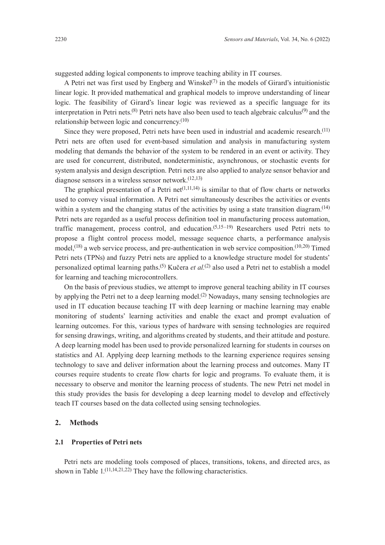suggested adding logical components to improve teaching ability in IT courses.

A Petri net was first used by Engberg and Winskel<sup>(7)</sup> in the models of Girard's intuitionistic linear logic. It provided mathematical and graphical models to improve understanding of linear logic. The feasibility of Girard's linear logic was reviewed as a specific language for its interpretation in Petri nets.<sup>(8)</sup> Petri nets have also been used to teach algebraic calculus<sup>(9)</sup> and the relationship between logic and concurrency. $(10)$ 

Since they were proposed, Petri nets have been used in industrial and academic research.(11) Petri nets are often used for event-based simulation and analysis in manufacturing system modeling that demands the behavior of the system to be rendered in an event or activity. They are used for concurrent, distributed, nondeterministic, asynchronous, or stochastic events for system analysis and design description. Petri nets are also applied to analyze sensor behavior and diagnose sensors in a wireless sensor network.(12,13)

The graphical presentation of a Petri net<sup> $(1,11,14)$ </sup> is similar to that of flow charts or networks used to convey visual information. A Petri net simultaneously describes the activities or events within a system and the changing status of the activities by using a state transition diagram.<sup>(14)</sup> Petri nets are regarded as a useful process definition tool in manufacturing process automation, traffic management, process control, and education.<sup> $(5,15-19)$ </sup> Researchers used Petri nets to propose a flight control process model, message sequence charts, a performance analysis model,<sup>(18)</sup> a web service process, and pre-authentication in web service composition.<sup>(10,20)</sup> Timed Petri nets (TPNs) and fuzzy Petri nets are applied to a knowledge structure model for students' personalized optimal learning paths.(5) Kučera *et al.*(2) also used a Petri net to establish a model for learning and teaching microcontrollers.

On the basis of previous studies, we attempt to improve general teaching ability in IT courses by applying the Petri net to a deep learning model.<sup>(2)</sup> Nowadays, many sensing technologies are used in IT education because teaching IT with deep learning or machine learning may enable monitoring of students' learning activities and enable the exact and prompt evaluation of learning outcomes. For this, various types of hardware with sensing technologies are required for sensing drawings, writing, and algorithms created by students, and their attitude and posture. A deep learning model has been used to provide personalized learning for students in courses on statistics and AI. Applying deep learning methods to the learning experience requires sensing technology to save and deliver information about the learning process and outcomes. Many IT courses require students to create flow charts for logic and programs. To evaluate them, it is necessary to observe and monitor the learning process of students. The new Petri net model in this study provides the basis for developing a deep learning model to develop and effectively teach IT courses based on the data collected using sensing technologies.

## **2. Methods**

# **2.1 Properties of Petri nets**

Petri nets are modeling tools composed of places, transitions, tokens, and directed arcs, as shown in Table  $1.(11,14,21,22)$  They have the following characteristics.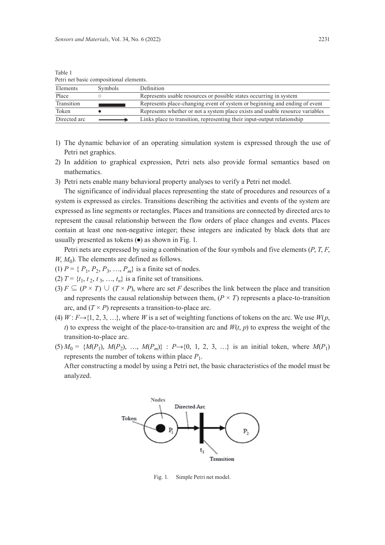| I can not basic compositional cicinemis. |                |                                                                               |  |
|------------------------------------------|----------------|-------------------------------------------------------------------------------|--|
| Elements                                 | <b>Symbols</b> | Definition                                                                    |  |
| Place                                    |                | Represents usable resources or possible states occurring in system            |  |
| Transition                               |                | Represents place-changing event of system or beginning and ending of event    |  |
| Token                                    |                | Represents whether or not a system place exists and usable resource variables |  |
| Directed arc                             |                | Links place to transition, representing their input-output relationship       |  |

Table 1 Petri net basic compositional elements.

- 1) The dynamic behavior of an operating simulation system is expressed through the use of Petri net graphics.
- 2) In addition to graphical expression, Petri nets also provide formal semantics based on mathematics.
- 3) Petri nets enable many behavioral property analyses to verify a Petri net model.

The significance of individual places representing the state of procedures and resources of a system is expressed as circles. Transitions describing the activities and events of the system are expressed as line segments or rectangles. Places and transitions are connected by directed arcs to represent the causal relationship between the flow orders of place changes and events. Places contain at least one non-negative integer; these integers are indicated by black dots that are usually presented as tokens  $\left( \bullet \right)$  as shown in Fig. 1.

Petri nets are expressed by using a combination of the four symbols and five elements (*P*, *T*, *F*,  $W, M_0$ ). The elements are defined as follows.

- (1)  $P = \{P_1, P_2, P_3, ..., P_m\}$  is a finite set of nodes.
- (2)  $T = \{t_1, t_2, t_3, ..., t_n\}$  is a finite set of transitions.
- (3)  $F \subseteq (P \times T) \cup (T \times P)$ , where arc set *F* describes the link between the place and transition and represents the causal relationship between them,  $(P \times T)$  represents a place-to-transition arc, and  $(T \times P)$  represents a transition-to-place arc.
- (4)  $W: F \rightarrow \{1, 2, 3, \ldots\}$ , where W is a set of weighting functions of tokens on the arc. We use  $W(p)$ , *t*) to express the weight of the place-to-transition arc and  $W(t, p)$  to express the weight of the transition-to-place arc.
- $(5) M_0 = \{M(P_1), M(P_2), \ldots, M(P_m)\}$ :  $P \rightarrow \{0, 1, 2, 3, \ldots\}$  is an initial token, where  $M(P_1)$ represents the number of tokens within place  $P_1$ .

After constructing a model by using a Petri net, the basic characteristics of the model must be analyzed.



Fig. 1. Simple Petri net model.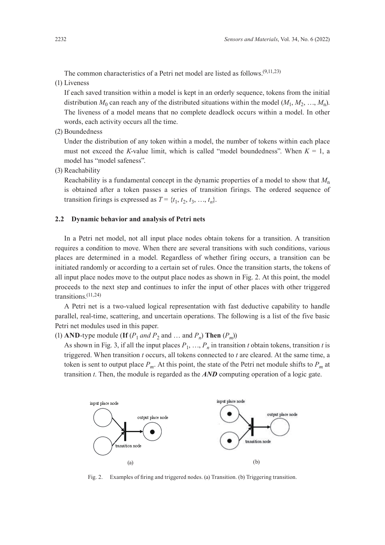The common characteristics of a Petri net model are listed as follows.(9,11,23)

(1) Liveness

If each saved transition within a model is kept in an orderly sequence, tokens from the initial distribution  $M_0$  can reach any of the distributed situations within the model  $(M_1, M_2, ..., M_n)$ . The liveness of a model means that no complete deadlock occurs within a model. In other words, each activity occurs all the time.

(2) Boundedness

Under the distribution of any token within a model, the number of tokens within each place must not exceed the *K*-value limit, which is called "model boundedness". When  $K = 1$ , a model has "model safeness".

(3) Reachability

Reachability is a fundamental concept in the dynamic properties of a model to show that *M*<sup>n</sup> is obtained after a token passes a series of transition firings. The ordered sequence of transition firings is expressed as  $T = \{t_1, t_2, t_3, ..., t_n\}$ .

#### **2.2 Dynamic behavior and analysis of Petri nets**

In a Petri net model, not all input place nodes obtain tokens for a transition. A transition requires a condition to move. When there are several transitions with such conditions, various places are determined in a model. Regardless of whether firing occurs, a transition can be initiated randomly or according to a certain set of rules. Once the transition starts, the tokens of all input place nodes move to the output place nodes as shown in Fig. 2. At this point, the model proceeds to the next step and continues to infer the input of other places with other triggered transitions.(11,24)

A Petri net is a two-valued logical representation with fast deductive capability to handle parallel, real-time, scattering, and uncertain operations. The following is a list of the five basic Petri net modules used in this paper.

(1) **AND**-type module (**If**  $(P_1$  *and*  $P_2$  and ... and  $P_n$ ) **Then**  $(P_m)$ )

As shown in Fig. 3, if all the input places  $P_1, \ldots, P_n$  in transition *t* obtain tokens, transition *t* is triggered. When transition *t* occurs, all tokens connected to *t* are cleared. At the same time, a token is sent to output place  $P_m$ . At this point, the state of the Petri net module shifts to  $P_m$  at transition *t*. Then, the module is regarded as the *AND* computing operation of a logic gate.



Fig. 2. Examples of firing and triggered nodes. (a) Transition. (b) Triggering transition.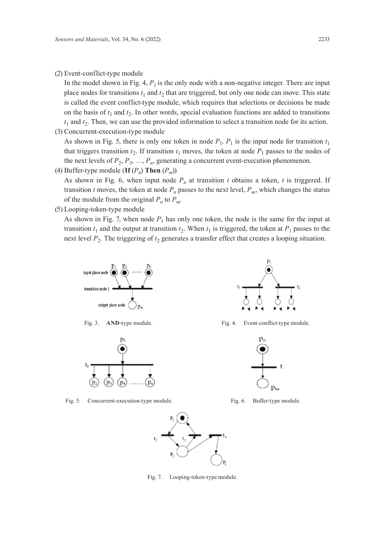(2) Event-conflict-type module

In the model shown in Fig. 4,  $P_1$  is the only node with a non-negative integer. There are input place nodes for transitions  $t_1$  and  $t_2$  that are triggered, but only one node can move. This state is called the event conflict-type module, which requires that selections or decisions be made on the basis of  $t_1$  and  $t_2$ . In other words, special evaluation functions are added to transitions  $t_1$  and  $t_2$ . Then, we can use the provided information to select a transition node for its action.

(3) Concurrent-execution-type module

As shown in Fig. 5, there is only one token in node  $P_1$ .  $P_1$  is the input node for transition  $t_1$ that triggers transition  $t_2$ . If transition  $t_1$  moves, the token at node  $P_1$  passes to the nodes of the next levels of  $P_2, P_3, ..., P_n$ , generating a concurrent event-execution phenomenon.

(4) Buffer-type module (**If**  $(P_n)$  **Then**  $(P_m)$ )

As shown in Fig. 6, when input node  $P_n$  at transition *t* obtains a token, *t* is triggered. If transition *t* moves, the token at node  $P_n$  passes to the next level,  $P_m$ , which changes the status of the module from the original  $P_n$  to  $P_m$ .

(5) Looping-token-type module

As shown in Fig. 7, when node  $P_1$  has only one token, the node is the same for the input at transition  $t_1$  and the output at transition  $t_2$ . When  $t_1$  is triggered, the token at  $P_1$  passes to the next level  $P_2$ . The triggering of  $t_2$  generates a transfer effect that creates a looping situation.





Fig. 5. Concurrent-execution-type module. Fig. 6. Buffer-type module.



Fig. 3. AND-type module. Fig. 4. Event-conflict-type module.





Fig. 7. Looping-token-type module.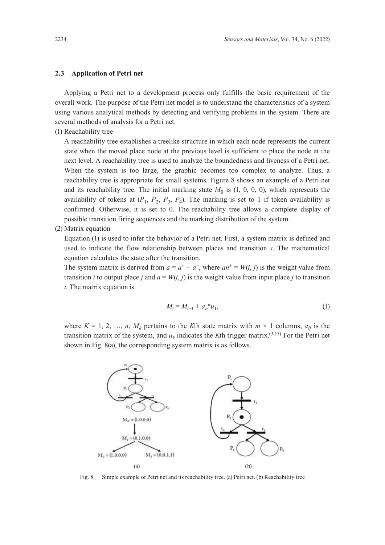#### **2.3 Application of Petri net**

Applying a Petri net to a development process only fulfills the basic requirement of the overall work. The purpose of the Petri net model is to understand the characteristics of a system using various analytical methods by detecting and verifying problems in the system. There are several methods of analysis for a Petri net.

(1) Reachability tree

A reachability tree establishes a treelike structure in which each node represents the current state when the moved place node at the previous level is sufficient to place the node at the next level. A reachability tree is used to analyze the boundedness and liveness of a Petri net. When the system is too large, the graphic becomes too complex to analyze. Thus, a reachability tree is appropriate for small systems. Figure 8 shows an example of a Petri net and its reachability tree. The initial marking state  $M_0$  is  $(1, 0, 0, 0)$ , which represents the availability of tokens at  $(P_1, P_2, P_3, P_4)$ . The marking is set to 1 if token availability is confirmed. Otherwise, it is set to 0. The reachability tree allows a complete display of possible transition firing sequences and the marking distribution of the system.

(2) Matrix equation

Equation (1) is used to infer the behavior of a Petri net. First, a system matrix is defined and used to indicate the flow relationship between places and transition *s*. The mathematical equation calculates the state after the transition.

The system matrix is derived from  $a = a^+ - a^-$ , where  $an^+ = W(i, j)$  is the weight value from transition *i* to output place *j* and  $a = W(i, j)$  is the weight value from input place *j* to transition *i*. The matrix equation is

$$
M_i = M_{i-1} + a_n^* u_1,\tag{1}
$$

where  $K = 1, 2, ..., n$ ,  $M_k$  pertains to the *K*th state matrix with  $m \times 1$  columns,  $a_{ij}$  is the transition matrix of the system, and  $u_k$  indicates the *K*th trigger matrix.<sup>(3,17)</sup> For the Petri net shown in Fig. 8(a), the corresponding system matrix is as follows.



Fig. 8. Simple example of Petri net and its reachability tree. (a) Petri net. (b) Reachability tree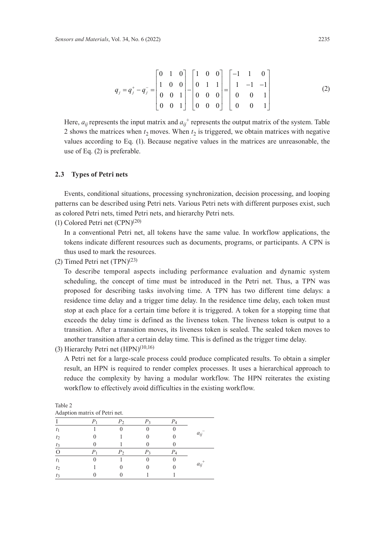$$
q_{j} = q_{j}^{+} - q_{j}^{-} = \begin{bmatrix} 0 & 1 & 0 \\ 1 & 0 & 0 \\ 0 & 0 & 1 \\ 0 & 0 & 1 \end{bmatrix} - \begin{bmatrix} 1 & 0 & 0 \\ 0 & 1 & 1 \\ 0 & 0 & 0 \\ 0 & 0 & 0 \end{bmatrix} = \begin{bmatrix} -1 & 1 & 0 \\ 1 & -1 & -1 \\ 0 & 0 & 1 \\ 0 & 0 & 1 \end{bmatrix}
$$
(2)

Here,  $a_{ij}$  represents the input matrix and  $a_{ij}^+$  represents the output matrix of the system. Table 2 shows the matrices when  $t_2$  moves. When  $t_2$  is triggered, we obtain matrices with negative values according to Eq. (1). Because negative values in the matrices are unreasonable, the use of Eq. (2) is preferable.

#### **2.3 Types of Petri nets**

Events, conditional situations, processing synchronization, decision processing, and looping patterns can be described using Petri nets. Various Petri nets with different purposes exist, such as colored Petri nets, timed Petri nets, and hierarchy Petri nets.

(1) Colored Petri net (CPN)(20)

In a conventional Petri net, all tokens have the same value. In workflow applications, the tokens indicate different resources such as documents, programs, or participants. A CPN is thus used to mark the resources.

(2) Timed Petri net  $(TPN)^{(23)}$ 

To describe temporal aspects including performance evaluation and dynamic system scheduling, the concept of time must be introduced in the Petri net. Thus, a TPN was proposed for describing tasks involving time. A TPN has two different time delays: a residence time delay and a trigger time delay. In the residence time delay, each token must stop at each place for a certain time before it is triggered. A token for a stopping time that exceeds the delay time is defined as the liveness token. The liveness token is output to a transition. After a transition moves, its liveness token is sealed. The sealed token moves to another transition after a certain delay time. This is defined as the trigger time delay.

(3) Hierarchy Petri net  $(HPN)^{(10,16)}$ 

Table 2

A Petri net for a large-scale process could produce complicated results. To obtain a simpler result, an HPN is required to render complex processes. It uses a hierarchical approach to reduce the complexity by having a modular workflow. The HPN reiterates the existing workflow to effectively avoid difficulties in the existing workflow.

|                | Adaption matrix of Petri net. |    |       |          |
|----------------|-------------------------------|----|-------|----------|
|                |                               |    | $P_3$ |          |
|                |                               |    |       |          |
| t <sub>2</sub> |                               |    |       | $a_{ii}$ |
| $t_3$          |                               |    |       |          |
|                |                               | ۳η |       |          |
| $t_1$          |                               |    |       |          |
| $t_2$          |                               |    |       | $a_{ii}$ |
| $t_3$          |                               |    |       |          |
|                |                               |    |       |          |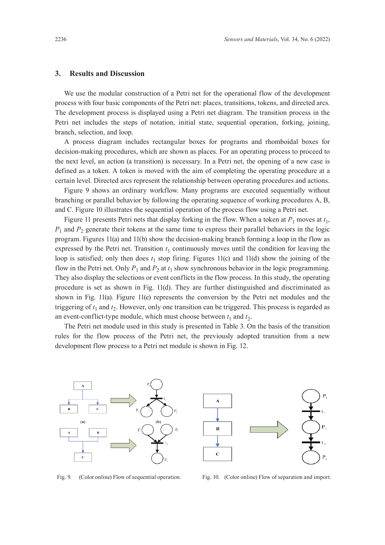### **3. Results and Discussion**

We use the modular construction of a Petri net for the operational flow of the development process with four basic components of the Petri net: places, transitions, tokens, and directed arcs. The development process is displayed using a Petri net diagram. The transition process in the Petri net includes the steps of notation, initial state, sequential operation, forking, joining, branch, selection, and loop.

A process diagram includes rectangular boxes for programs and rhomboidal boxes for decision-making procedures, which are shown as places. For an operating process to proceed to the next level, an action (a transition) is necessary. In a Petri net, the opening of a new case is defined as a token. A token is moved with the aim of completing the operating procedure at a certain level. Directed arcs represent the relationship between operating procedures and actions.

Figure 9 shows an ordinary workflow. Many programs are executed sequentially without branching or parallel behavior by following the operating sequence of working procedures A, B, and C. Figure 10 illustrates the sequential operation of the process flow using a Petri net.

Figure 11 presents Petri nets that display forking in the flow. When a token at  $P_1$  moves at  $t_1$ ,  $P_1$  and  $P_2$  generate their tokens at the same time to express their parallel behaviors in the logic program. Figures 11(a) and 11(b) show the decision-making branch forming a loop in the flow as expressed by the Petri net. Transition  $t_1$  continuously moves until the condition for leaving the loop is satisfied; only then does  $t_1$  stop firing. Figures 11(c) and 11(d) show the joining of the flow in the Petri net. Only  $P_1$  and  $P_2$  at  $t_1$  show synchronous behavior in the logic programming. They also display the selections or event conflicts in the flow process. In this study, the operating procedure is set as shown in Fig. 11(d). They are further distinguished and discriminated as shown in Fig. 11(a). Figure 11(e) represents the conversion by the Petri net modules and the triggering of  $t_1$  and  $t_2$ . However, only one transition can be triggered. This process is regarded as an event-conflict-type module, which must choose between  $t_1$  and  $t_2$ .

The Petri net module used in this study is presented in Table 3. On the basis of the transition rules for the flow process of the Petri net, the previously adopted transition from a new development flow process to a Petri net module is shown in Fig. 12.





Fig. 9. (Color online) Flow of sequential operation. Fig. 10. (Color online) Flow of separation and import.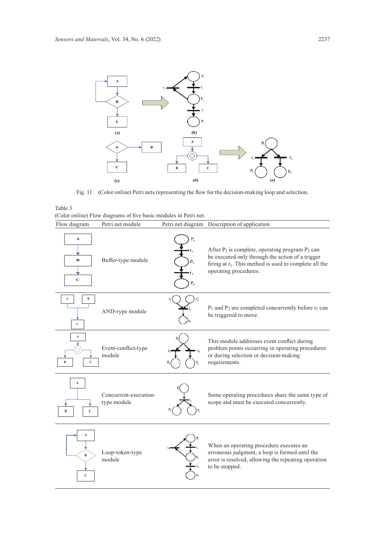

Fig. 11. (Color online) Petri nets representing the flow for the decision-making loop and selection.

| ____    |                                                                  |  |  |  |  |
|---------|------------------------------------------------------------------|--|--|--|--|
|         | (Color online) Flow diagrams of five basic modules in Petri net. |  |  |  |  |
| Table 3 |                                                                  |  |  |  |  |

| Flow diagram                     | Petri net module                     |               | Petri net diagram Description of application                                                                                                                                                   |
|----------------------------------|--------------------------------------|---------------|------------------------------------------------------------------------------------------------------------------------------------------------------------------------------------------------|
| A<br>в<br>$\mathbf C$            | Buffer-type module                   | P,<br>$P_{3}$ | After $P_1$ is complete, operating program $P_2$ can<br>be executed only through the action of a trigger<br>firing at $t_1$ . This method is used to complete all the<br>operating procedures. |
| B<br>A<br>C                      | AND-type module                      |               | $P_1$ and $P_2$ are completed concurrently before $t_1$ can<br>be triggered to move.                                                                                                           |
| A<br>$\bf{B}$<br>Ċ               | Event-conflict-type<br>module        |               | This module addresses event conflict during<br>problem points occurring in operating procedures<br>or during selection or decision-making<br>requirements.                                     |
| A<br>$\mathbf{C}$                | Concurrent-execution-<br>type module |               | Some operating procedures share the same type of<br>scope and must be executed concurrently.                                                                                                   |
| A<br>$\mathbf{B}$<br>$\mathbf C$ | Loop-token-type<br>module            |               | When an operating procedure executes an<br>erroneous judgment, a loop is formed until the<br>error is resolved, allowing the repeating operation<br>to be stopped.                             |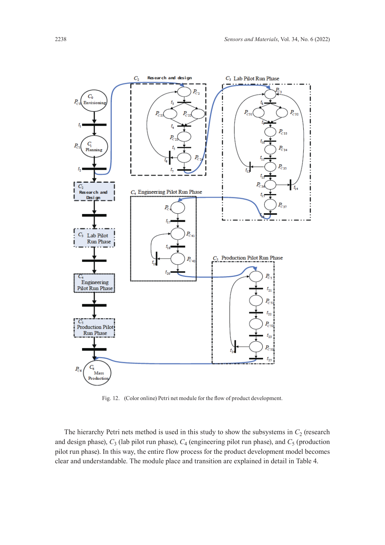

Fig. 12. (Color online) Petri net module for the flow of product development.

The hierarchy Petri nets method is used in this study to show the subsystems in  $C_2$  (research and design phase),  $C_3$  (lab pilot run phase),  $C_4$  (engineering pilot run phase), and  $C_5$  (production pilot run phase). In this way, the entire flow process for the product development model becomes clear and understandable. The module place and transition are explained in detail in Table 4.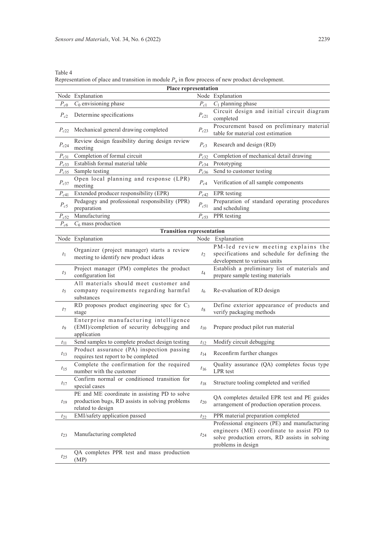| Table 4                                                                                            |  |
|----------------------------------------------------------------------------------------------------|--|
| Representation of place and transition in module $P_n$ in flow process of new product development. |  |

|           | <b>Place representation</b>                                                                                           |           |                                                                                                                                                                    |  |  |  |  |  |
|-----------|-----------------------------------------------------------------------------------------------------------------------|-----------|--------------------------------------------------------------------------------------------------------------------------------------------------------------------|--|--|--|--|--|
|           | Node Explanation                                                                                                      |           | Node Explanation                                                                                                                                                   |  |  |  |  |  |
| $P_{c0}$  | $C_0$ envisioning phase                                                                                               | $P_{c1}$  | $C_1$ planning phase                                                                                                                                               |  |  |  |  |  |
| $P_{c2}$  | Determine specifications                                                                                              | $P_{c21}$ | Circuit design and initial circuit diagram<br>completed                                                                                                            |  |  |  |  |  |
| $P_{c22}$ | Mechanical general drawing completed                                                                                  | $P_{c23}$ | Procurement based on preliminary material<br>table for material cost estimation                                                                                    |  |  |  |  |  |
| $P_{c24}$ | Review design feasibility during design review<br>meeting                                                             | $P_{c3}$  | Research and design (RD)                                                                                                                                           |  |  |  |  |  |
| $P_{c31}$ | Completion of formal circuit                                                                                          | $P_{c32}$ | Completion of mechanical detail drawing                                                                                                                            |  |  |  |  |  |
| $P_{c33}$ | Establish formal material table                                                                                       | $P_{c34}$ | Prototyping                                                                                                                                                        |  |  |  |  |  |
| $P_{c35}$ | Sample testing                                                                                                        | $P_{c36}$ | Send to customer testing                                                                                                                                           |  |  |  |  |  |
| $P_{c37}$ | Open local planning and response (LPR)<br>meeting                                                                     | $P_{c4}$  | Verification of all sample components                                                                                                                              |  |  |  |  |  |
| $P_{c41}$ | Extended producer responsibility (EPR)                                                                                | $P_{c42}$ | EPR testing                                                                                                                                                        |  |  |  |  |  |
| $P_{c5}$  | Pedagogy and professional responsibility (PPR)<br>preparation                                                         | $P_{c51}$ | Preparation of standard operating procedures<br>and scheduling                                                                                                     |  |  |  |  |  |
| $P_{c52}$ | Manufacturing                                                                                                         | $P_{c53}$ | PPR testing                                                                                                                                                        |  |  |  |  |  |
| $P_{c6}$  | $C_6$ mass production                                                                                                 |           |                                                                                                                                                                    |  |  |  |  |  |
|           | <b>Transition representation</b>                                                                                      |           |                                                                                                                                                                    |  |  |  |  |  |
|           | Node Explanation                                                                                                      |           | Node Explanation                                                                                                                                                   |  |  |  |  |  |
| $t_1$     | Organizer (project manager) starts a review<br>meeting to identify new product ideas                                  | $t_2$     | PM-led review meeting explains the<br>specifications and schedule for defining the<br>development to various units                                                 |  |  |  |  |  |
| $t_3$     | Project manager (PM) completes the product<br>configuration list                                                      | $t_4$     | Establish a preliminary list of materials and<br>prepare sample testing materials                                                                                  |  |  |  |  |  |
| $t_5$     | All materials should meet customer and<br>company requirements regarding harmful<br>substances                        | $t_{6}$   | Re-evaluation of RD design                                                                                                                                         |  |  |  |  |  |
| $t_7$     | RD proposes product engineering spec for $C_3$<br>stage                                                               | $t_8$     | Define exterior appearance of products and<br>verify packaging methods                                                                                             |  |  |  |  |  |
| t9        | Enterprise manufacturing intelligence<br>(EMI)/completion of security debugging and<br>application                    | $t_{10}$  | Prepare product pilot run material                                                                                                                                 |  |  |  |  |  |
| $t_{11}$  | Send samples to complete product design testing                                                                       | $t_{12}$  | Modify circuit debugging                                                                                                                                           |  |  |  |  |  |
| $t_{13}$  | Product assurance (PA) inspection passing<br>requires test report to be completed                                     | $t_{14}$  | Reconfirm further changes                                                                                                                                          |  |  |  |  |  |
| $t_{15}$  | Complete the confirmation for the required<br>number with the customer                                                | $t_{16}$  | Quality assurance (QA) completes focus type<br>LPR test                                                                                                            |  |  |  |  |  |
| $t_{17}$  | Confirm normal or conditioned transition for<br>special cases                                                         | $t_{18}$  | Structure tooling completed and verified                                                                                                                           |  |  |  |  |  |
| $t_{19}$  | PE and ME coordinate in assisting PD to solve<br>production bugs, RD assists in solving problems<br>related to design | $t_{20}$  | QA completes detailed EPR test and PE guides<br>arrangement of production operation process.                                                                       |  |  |  |  |  |
| $t_{21}$  | EMI/safety application passed                                                                                         | $t_{22}$  | PPR material preparation completed                                                                                                                                 |  |  |  |  |  |
| $t_{23}$  | Manufacturing completed                                                                                               | $t_{24}$  | Professional engineers (PE) and manufacturing<br>engineers (ME) coordinate to assist PD to<br>solve production errors, RD assists in solving<br>problems in design |  |  |  |  |  |
| $t_{25}$  | QA completes PPR test and mass production<br>(MP)                                                                     |           |                                                                                                                                                                    |  |  |  |  |  |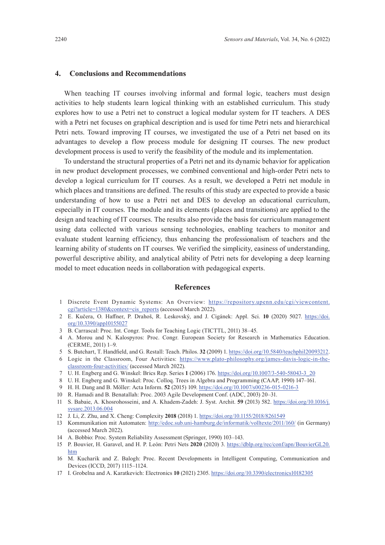### **4. Conclusions and Recommendations**

When teaching IT courses involving informal and formal logic, teachers must design activities to help students learn logical thinking with an established curriculum. This study explores how to use a Petri net to construct a logical modular system for IT teachers. A DES with a Petri net focuses on graphical description and is used for time Petri nets and hierarchical Petri nets. Toward improving IT courses, we investigated the use of a Petri net based on its advantages to develop a flow process module for designing IT courses. The new product development process is used to verify the feasibility of the module and its implementation.

To understand the structural properties of a Petri net and its dynamic behavior for application in new product development processes, we combined conventional and high-order Petri nets to develop a logical curriculum for IT courses. As a result, we developed a Petri net module in which places and transitions are defined. The results of this study are expected to provide a basic understanding of how to use a Petri net and DES to develop an educational curriculum, especially in IT courses. The module and its elements (places and transitions) are applied to the design and teaching of IT courses. The results also provide the basis for curriculum management using data collected with various sensing technologies, enabling teachers to monitor and evaluate student learning efficiency, thus enhancing the professionalism of teachers and the learning ability of students on IT courses. We verified the simplicity, easiness of understanding, powerful descriptive ability, and analytical ability of Petri nets for developing a deep learning model to meet education needs in collaboration with pedagogical experts.

#### **References**

- 1 Discrete Event Dynamic Systems: An Overview: [https://repository.upenn.edu/cgi/viewcontent.](https://repository.upenn.edu/cgi/viewcontent.cgi?article=1380&context=cis_reports) [cgi?article=1380&context=cis\\_reports](https://repository.upenn.edu/cgi/viewcontent.cgi?article=1380&context=cis_reports) (accessed March 2022).
- 2 E. Kučera, O. Haffner, P. Drahoš, R. Leskovský, and J. Cigánek: Appl. Sci. **10** (2020) 5027. [https://doi.](https://doi.org/10.3390/app10155027) [org/10.3390/app10155027](https://doi.org/10.3390/app10155027)
- 3 B. Carrascal: Proc. Int. Congr. Tools for Teaching Logic (TICTTL, 2011) 38–45.
- 4 A. Morou and N. Kalospyros: Proc. Congr. European Society for Research in Mathematics Education. (CERME, 2011) 1–9.
- 5 S. Butchart, T. Handfield, and G. Restall: Teach. Philos. **32** (2009) 1. [https://doi.org/10.5840/teachphil20093212.](https://doi.org/10.5840/teachphil20093212)
- 6 Logic in the Classroom, Four Activities: [https://www.plato-philosophy.org/james-davis-logic-in-the](https://www.plato-philosophy.org/james-davis-logic-in-the-classroom-four-activities/)[classroom-four-activities/](https://www.plato-philosophy.org/james-davis-logic-in-the-classroom-four-activities/) (accessed March 2022).
- 7 U. H. Engberg and G. Winskel: Brics Rep. Series **1** (2006) 176. [https://doi.org/10.1007/3-540-58043-3\\_20](https://doi.org/10.1007/3-540-58043-3_20)
- 8 U. H. Engberg and G. Winskel: Proc. Colloq. Trees in Algebra and Programming (CAAP, 1990) 147–161.
- 9 H. H. Dang and B. Möller: Acta Inform. **52** (2015) 109. <https://doi.org/10.1007/s00236-015-0216-3>
- 10 R. Hamadi and B. Benatallah: Proc. 2003 Agile Development Conf. (ADC, 2003) 20–31.
- 11 S. Babaie, A. Khosrohosseini, and A. Khadem-Zadeh: J. Syst. Archit. **59** (2013) 582. [https://doi.org/10.1016/j.](https://doi.org/10.1016/j.sysarc.2013.06.004) [sysarc.2013.06.004](https://doi.org/10.1016/j.sysarc.2013.06.004)
- 12 J. Li, Z. Zhu, and X. Cheng: Complexity **2018** (2018) 1.<https://doi.org/10.1155/2018/8261549>
- 13 Kommunikation mit Automaten: <http://edoc.sub.uni-hamburg.de/informatik/volltexte/2011/160/> (in Germany) (accessed March 2022).
- 14 A. Bobbio: Proc. System Reliability Assessment (Springer, 1990) 103–143.
- 15 P. Bouvier, H. Garavel, and H. P. León: Petri Nets **2020** (2020) 3. [https://dblp.org/rec/conf/apn/BouvierGL20.](https://dblp.org/rec/conf/apn/BouvierGL20.htm) [htm](https://dblp.org/rec/conf/apn/BouvierGL20.htm)
- 16 M. Kucharik and Z. Balogh: Proc. Recent Developments in Intelligent Computing, Communication and Devices (ICCD, 2017) 1115–1124.
- 17 I. Grobelna and A. Karatkevich: Electronics **10** (2021) 2305. [https://doi.org/10.3390/electronics10182305](http://dx.doi.org/10.3390/electronics10182305)